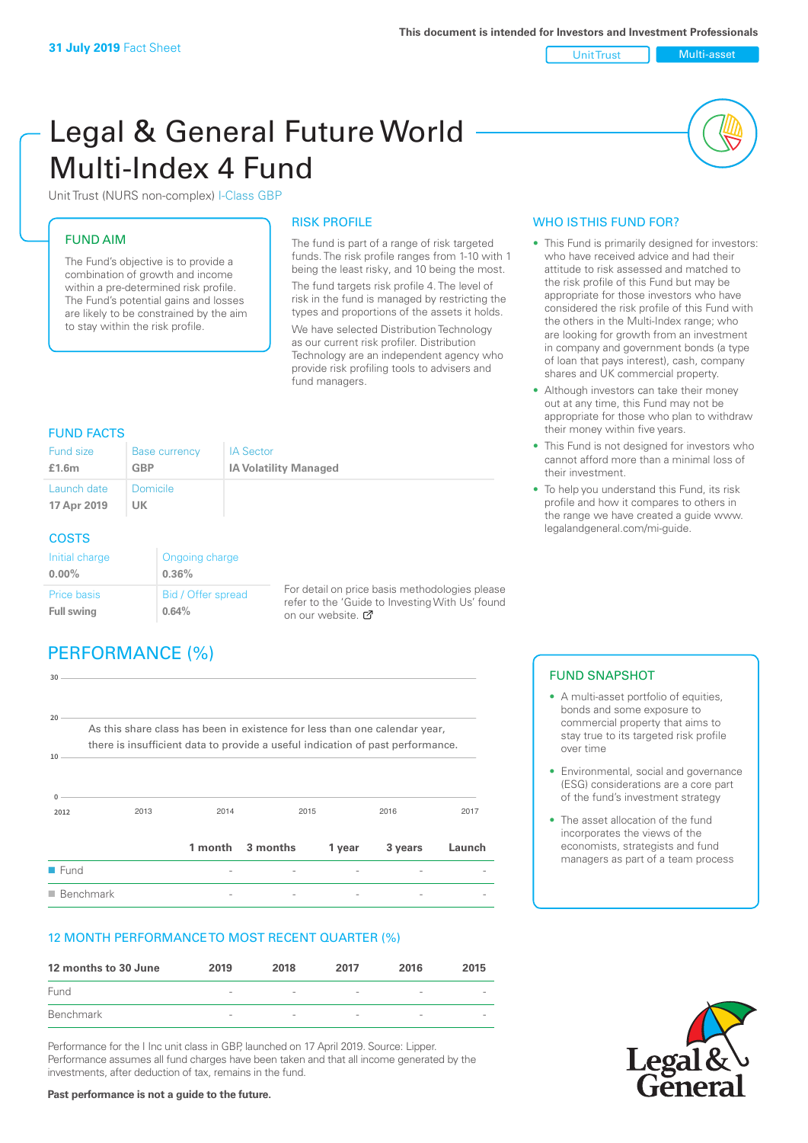Unit Trust Multi-asset

# Legal & General Future World Multi-Index 4 Fund

Unit Trust (NURS non-complex) I-Class GBP

# FUND AIM

The Fund's objective is to provide a combination of growth and income within a pre-determined risk profile. The Fund's potential gains and losses are likely to be constrained by the aim to stay within the risk profile.

#### RISK PROFILE

The fund is part of a range of risk targeted funds. The risk profile ranges from 1-10 with 1 being the least risky, and 10 being the most. The fund targets risk profile 4. The level of risk in the fund is managed by restricting the types and proportions of the assets it holds. We have selected Distribution Technology as our current risk profiler. Distribution Technology are an independent agency who provide risk profiling tools to advisers and fund managers.

## FUND FACTS

| Fund size                  | <b>Base currency</b>  | <b>IA Sector</b>             |
|----------------------------|-----------------------|------------------------------|
| £1.6m                      | <b>GBP</b>            | <b>IA Volatility Managed</b> |
| Launch date<br>17 Apr 2019 | <b>Domicile</b><br>UK |                              |

#### **COSTS**

| Initial charge<br>$0.00\%$              | Ongoing charge<br>0.36%     |   |
|-----------------------------------------|-----------------------------|---|
| <b>Price basis</b><br><b>Full swing</b> | Bid / Offer spread<br>0.64% | r |

For detail on price basis methodologies please efer to the 'Guide to Investing With Us' found  $\alpha$ n our website.  $\alpha$ 

# PERFORMANCE (%)

| 30<br>20                 |                                                                                                                                                              |      |                  |        |         |        |
|--------------------------|--------------------------------------------------------------------------------------------------------------------------------------------------------------|------|------------------|--------|---------|--------|
| 10                       | As this share class has been in existence for less than one calendar year,<br>there is insufficient data to provide a useful indication of past performance. |      |                  |        |         |        |
| <sup>n</sup><br>2012     | 2013                                                                                                                                                         | 2014 | 2015             |        | 2016    | 2017   |
|                          |                                                                                                                                                              |      | 1 month 3 months | 1 year | 3 years | Launch |
| $\blacksquare$ Fund      |                                                                                                                                                              |      |                  |        |         |        |
| $\blacksquare$ Benchmark |                                                                                                                                                              |      |                  |        |         |        |

# 12 MONTH PERFORMANCE TO MOST RECENT QUARTER (%)

| 12 months to 30 June | 2019                     | 2018                     | 2017                     | 2016                     | 2015 |
|----------------------|--------------------------|--------------------------|--------------------------|--------------------------|------|
| Fund                 | $\overline{\phantom{a}}$ | $\overline{\phantom{a}}$ | $\overline{\phantom{a}}$ | $\overline{\phantom{a}}$ |      |
| Benchmark            | $\sim$                   | $\overline{\phantom{a}}$ | $\sim$                   | $\overline{\phantom{a}}$ |      |

Performance for the I Inc unit class in GBP, launched on 17 April 2019. Source: Lipper. Performance assumes all fund charges have been taken and that all income generated by the investments, after deduction of tax, remains in the fund.

### WHO IS THIS FUND FOR?

- This Fund is primarily designed for investors: who have received advice and had their attitude to risk assessed and matched to the risk profile of this Fund but may be appropriate for those investors who have considered the risk profile of this Fund with the others in the Multi-Index range; who are looking for growth from an investment in company and government bonds (a type of loan that pays interest), cash, company shares and UK commercial property.
- Although investors can take their money out at any time, this Fund may not be appropriate for those who plan to withdraw their money within five years.
- This Fund is not designed for investors who cannot afford more than a minimal loss of their investment.
- To help you understand this Fund, its risk profile and how it compares to others in the range we have created a guide www. legalandgeneral.com/mi-guide.

### FUND SNAPSHOT

- A multi-asset portfolio of equities. bonds and some exposure to commercial property that aims to stay true to its targeted risk profile over time
- Environmental, social and governance (ESG) considerations are a core part of the fund's investment strategy
- The asset allocation of the fund incorporates the views of the economists, strategists and fund managers as part of a team process



#### **Past performance is not a guide to the future.**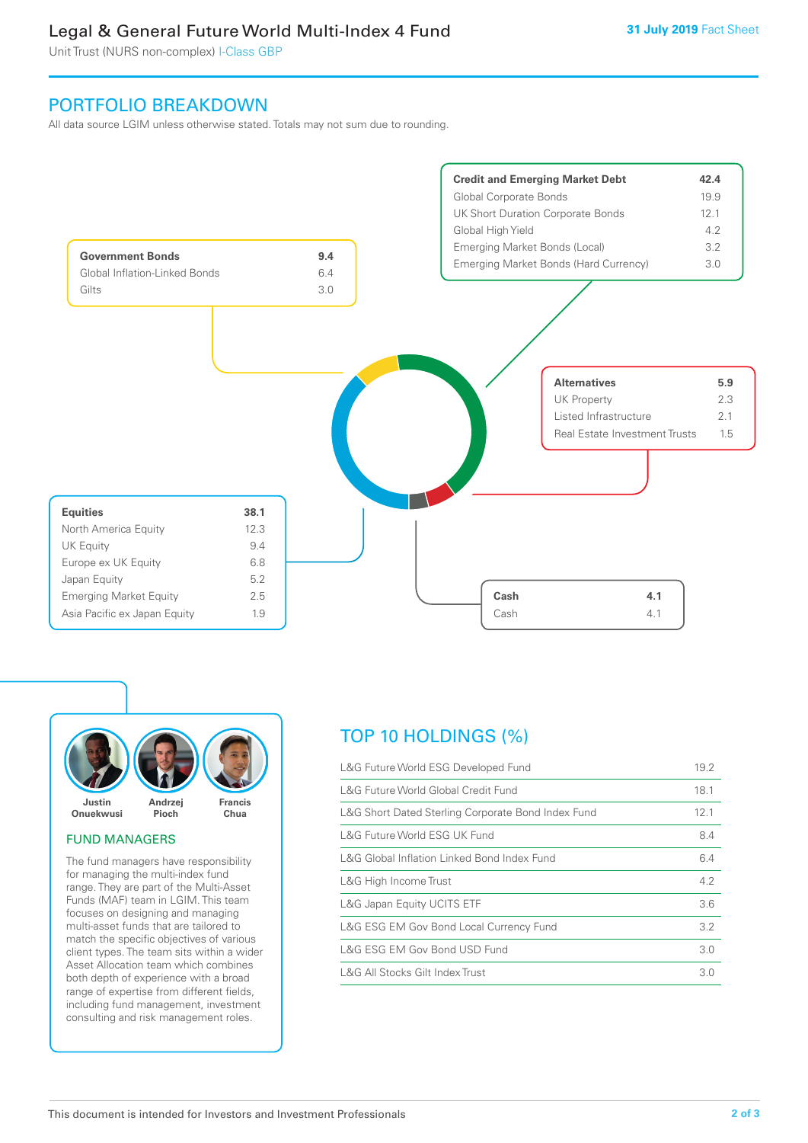# Legal & General Future World Multi-Index 4 Fund

Unit Trust (NURS non-complex) I-Class GBP

# PORTFOLIO BREAKDOWN

All data source LGIM unless otherwise stated. Totals may not sum due to rounding.





#### FUND MANAGERS

The fund managers have responsibility for managing the multi-index fund range. They are part of the Multi-Asset Funds (MAF) team in LGIM. This team focuses on designing and managing multi-asset funds that are tailored to match the specific objectives of various client types. The team sits within a wider Asset Allocation team which combines both depth of experience with a broad range of expertise from different fields, including fund management, investment consulting and risk management roles.

# TOP 10 HOLDINGS (%)

| L&G Future World ESG Developed Fund                | 19.2 |
|----------------------------------------------------|------|
| L&G Future World Global Credit Fund                | 18.1 |
| L&G Short Dated Sterling Corporate Bond Index Fund | 12.1 |
| L&G Future World ESG UK Fund                       | 8.4  |
| L&G Global Inflation Linked Bond Index Fund        | 6.4  |
| L&G High Income Trust                              | 4.2  |
| L&G Japan Equity UCITS ETF                         | 3.6  |
| L&G ESG EM Gov Bond Local Currency Fund            | 3.2  |
| L&G ESG EM Gov Bond USD Fund                       | 3.0  |
| L&G All Stocks Gilt Index Trust                    | 3.0  |